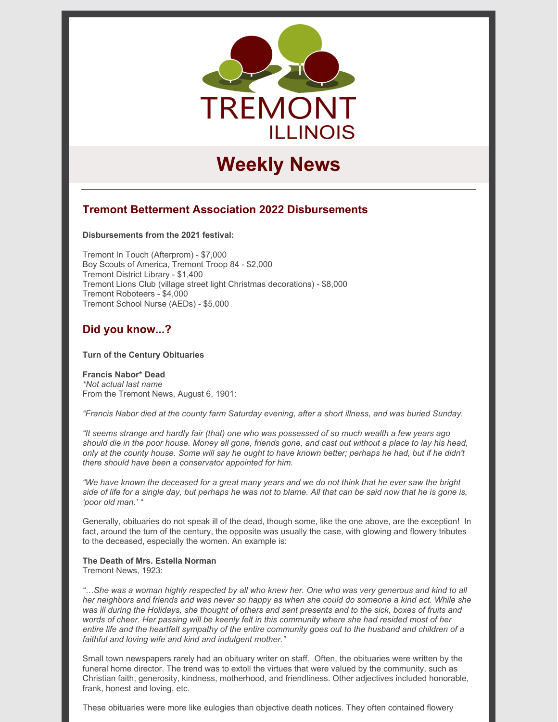

# **Weekly News**

### **Tremont Betterment Association 2022 Disbursements**

**Disbursements from the 2021 festival:**

Tremont In Touch (Afterprom) - \$7,000 Boy Scouts of America, Tremont Troop 84 - \$2,000 Tremont District Library - \$1,400 Tremont Lions Club (village street light Christmas decorations) - \$8,000 Tremont Roboteers - \$4,000 Tremont School Nurse (AEDs) - \$5,000

### **Did you know...?**

#### **Turn of the Century Obituaries**

#### **Francis Nabor\* Dead**

*\*Not actual last name* From the Tremont News, August 6, 1901:

*"Francis Nabor died at the county farm Saturday evening, after a short illness, and was buried Sunday.*

"It seems strange and hardly fair (that) one who was possessed of so much wealth a few years ago should die in the poor house. Money all gone, friends gone, and cast out without a place to lay his head, only at the county house. Some will say he ought to have known better; perhaps he had, but if he didn't *there should have been a conservator appointed for him.*

"We have known the deceased for a great many years and we do not think that he ever saw the bright side of life for a single day, but perhaps he was not to blame. All that can be said now that he is gone is, *'poor old man.' "*

Generally, obituaries do not speak ill of the dead, though some, like the one above, are the exception! In fact, around the turn of the century, the opposite was usually the case, with glowing and flowery tributes to the deceased, especially the women. An example is:

## **The Death of Mrs. Estella Norman**

Tremont News, 1923:

"...She was a woman highly respected by all who knew her. One who was very generous and kind to all her neighbors and friends and was never so happy as when she could do someone a kind act. While she was ill during the Holidays, she thought of others and sent presents and to the sick, boxes of fruits and words of cheer. Her passing will be keenly felt in this community where she had resided most of her entire life and the heartfelt sympathy of the entire community goes out to the husband and children of a *faithful and loving wife and kind and indulgent mother."*

Small town newspapers rarely had an obituary writer on staff. Often, the obituaries were written by the funeral home director. The trend was to extoll the virtues that were valued by the community, such as Christian faith, generosity, kindness, motherhood, and friendliness. Other adjectives included honorable, frank, honest and loving, etc.

These obituaries were more like eulogies than objective death notices. They often contained flowery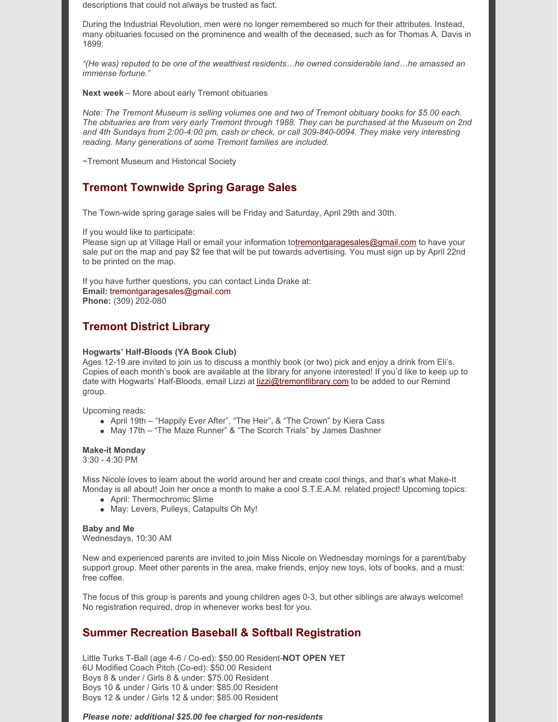descriptions that could not always be trusted as fact.

During the Industrial Revolution, men were no longer remembered so much for their attributes. Instead, many obituaries focused on the prominence and wealth of the deceased, such as for Thomas A. Davis in 1899:

*"(He was) reputed to be one of the wealthiest residents…he owned considerable land…he amassed an immense fortune."*

**Next week** – More about early Tremont obituaries

*Note: The Tremont Museum is selling volumes one and two of Tremont obituary books for \$5.00 each.* The obituaries are from very early Tremont through 1988. They can be purchased at the Museum on 2nd *and 4th Sundays from 2:00-4:00 pm, cash or check, or call 309-840-0094. They make very interesting reading. Many generations of some Tremont families are included.*

~Tremont Museum and Historical Society

### **Tremont Townwide Spring Garage Sales**

The Town-wide spring garage sales will be Friday and Saturday, April 29th and 30th.

If you would like to participate:

Please sign up at Village Hall or email your information t[otremontgaragesales@gmail.com](mailto:tremontgaragesales@gmail.com) to have your sale put on the map and pay \$2 fee that will be put towards advertising. You must sign up by April 22nd to be printed on the map.

If you have further questions, you can contact Linda Drake at: **Email:** tremontgaragesales@gmail.com **Phone:** (309) 202-080

### **Tremont District Library**

#### **Hogwarts' Half-Bloods (YA Book Club)**

Ages 12-19 are invited to join us to discuss a monthly book (or two) pick and enjoy a drink from Eli's. Copies of each month's book are available at the library for anyone interested! If you'd like to keep up to date with Hogwarts' Half-Bloods, email Lizzi at [lizzi@tremontlibrary.com](mailto:lizzi@tremontlibrary.com) to be added to our Remind group.

Upcoming reads:

- April 19th "Happily Ever After", "The Heir", & "The Crown" by Kiera Cass
- May 17th "The Maze Runner" & "The Scorch Trials" by James Dashner

#### **Make-it Monday**

3:30 - 4:30 PM

Miss Nicole loves to learn about the world around her and create cool things, and that's what Make-It Monday is all about! Join her once a month to make a cool S.T.E.A.M. related project! Upcoming topics:

- April: Thermochromic Slime
- May: Levers, Pulleys, Catapults Oh My!

#### **Baby and Me**

Wednesdays, 10:30 AM

New and experienced parents are invited to join Miss Nicole on Wednesday mornings for a parent/baby support group. Meet other parents in the area, make friends, enjoy new toys, lots of books, and a must: free coffee.

The focus of this group is parents and young children ages 0-3, but other siblings are always welcome! No registration required, drop in whenever works best for you.

### **Summer Recreation Baseball & Softball Registration**

Little Turks T-Ball (age 4-6 / Co-ed): \$50.00 Resident–**NOT OPEN YET** 6U Modified Coach Pitch (Co-ed): \$50.00 Resident Boys 8 & under / Girls 8 & under: \$75.00 Resident Boys 10 & under / Girls 10 & under: \$85.00 Resident Boys 12 & under / Girls 12 & under: \$85.00 Resident

*Please note: additional \$25.00 fee charged for non-residents*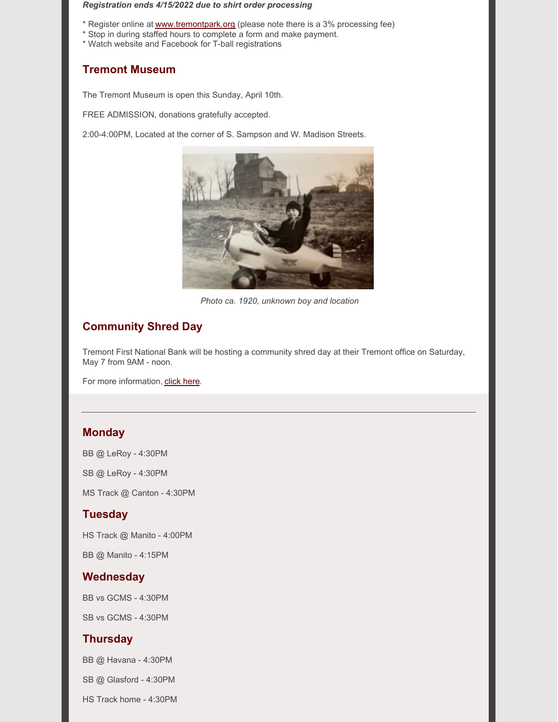#### *Registration ends 4/15/2022 due to shirt order processing*

- \* Register online at [www.tremontpark.org](http://www.tremontpark.org) (please note there is a 3% processing fee)
- \* Stop in during staffed hours to complete a form and make payment.
- \* Watch website and Facebook for T-ball registrations

### **Tremont Museum**

The Tremont Museum is open this Sunday, April 10th.

FREE ADMISSION, donations gratefully accepted.

2:00-4:00PM, Located at the corner of S. Sampson and W. Madison Streets.



*Photo ca. 1920, unknown boy and location*

### **Community Shred Day**

Tremont First National Bank will be hosting a community shred day at their Tremont office on Saturday, May 7 from 9AM - noon.

For more information, click [here.](https://www.tremontil.com/Tremont-news/2022/Shred_Day.pdf)

### **Monday**

BB @ LeRoy - 4:30PM

SB @ LeRoy - 4:30PM

MS Track @ Canton - 4:30PM

#### **Tuesday**

HS Track @ Manito - 4:00PM

BB @ Manito - 4:15PM

### **Wednesday**

BB vs GCMS - 4:30PM

SB vs GCMS - 4:30PM

### **Thursday**

BB @ Havana - 4:30PM

SB @ Glasford - 4:30PM

HS Track home - 4:30PM